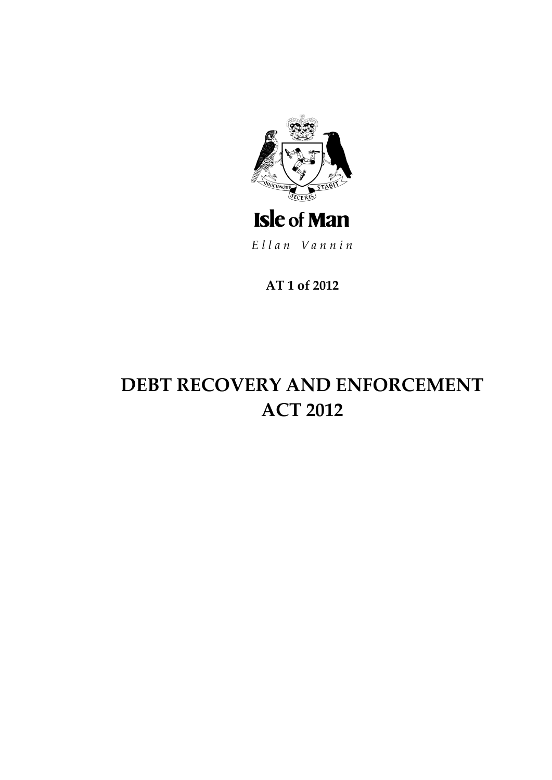

Ellan Vannin

AT 1 of 2012

# **DEBT RECOVERY AND ENFORCEMENT ACT 2012**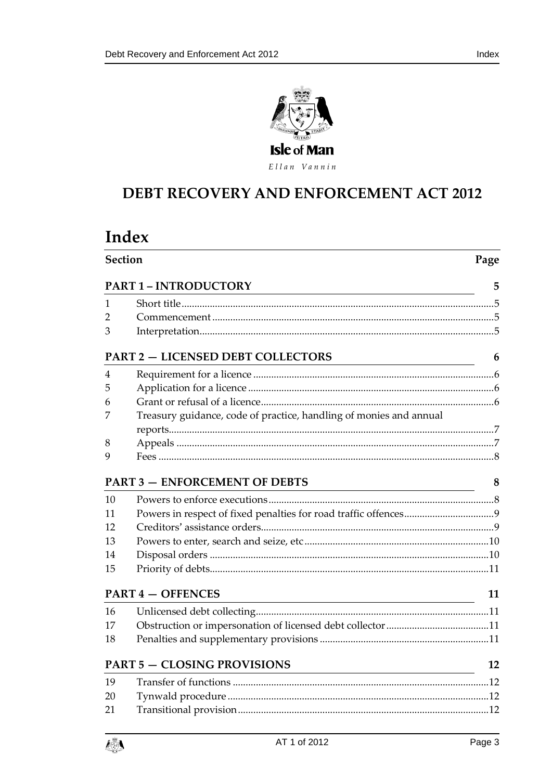

Index



# **DEBT RECOVERY AND ENFORCEMENT ACT 2012**

# Index

| <b>Section</b> |                                                                                                    | Page |  |
|----------------|----------------------------------------------------------------------------------------------------|------|--|
|                | <b>PART 1 - INTRODUCTORY</b>                                                                       | 5    |  |
| 1              |                                                                                                    |      |  |
| 2              |                                                                                                    |      |  |
| 3              |                                                                                                    |      |  |
|                | <b>PART 2 - LICENSED DEBT COLLECTORS</b>                                                           | 6    |  |
| 4              |                                                                                                    |      |  |
| 5              |                                                                                                    |      |  |
| 6              |                                                                                                    |      |  |
| 7              | Treasury guidance, code of practice, handling of monies and annual                                 |      |  |
|                |                                                                                                    |      |  |
| 8              |                                                                                                    |      |  |
| 9              |                                                                                                    |      |  |
|                | <b>PART 3 - ENFORCEMENT OF DEBTS</b>                                                               | 8    |  |
| 10             |                                                                                                    |      |  |
| 11             |                                                                                                    |      |  |
| 12             |                                                                                                    |      |  |
| 13             |                                                                                                    |      |  |
| 14             |                                                                                                    |      |  |
| 15             |                                                                                                    |      |  |
|                | <b>PART 4 - OFFENCES</b><br><u> 1980 - Jan Barat, martin amerikan ba</u>                           | 11   |  |
| 16             |                                                                                                    |      |  |
| 17             |                                                                                                    |      |  |
| 18             |                                                                                                    |      |  |
|                | <b>PART 5 - CLOSING PROVISIONS</b><br><u> 1989 - Johann Barbara, martxa eta idazlea (h. 1989).</u> | 12   |  |
| 19             |                                                                                                    |      |  |
| 20             |                                                                                                    |      |  |
| 21             |                                                                                                    |      |  |

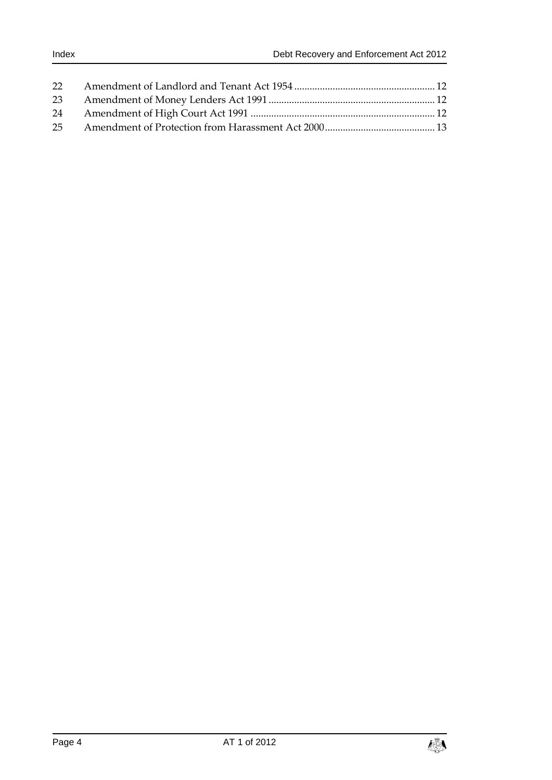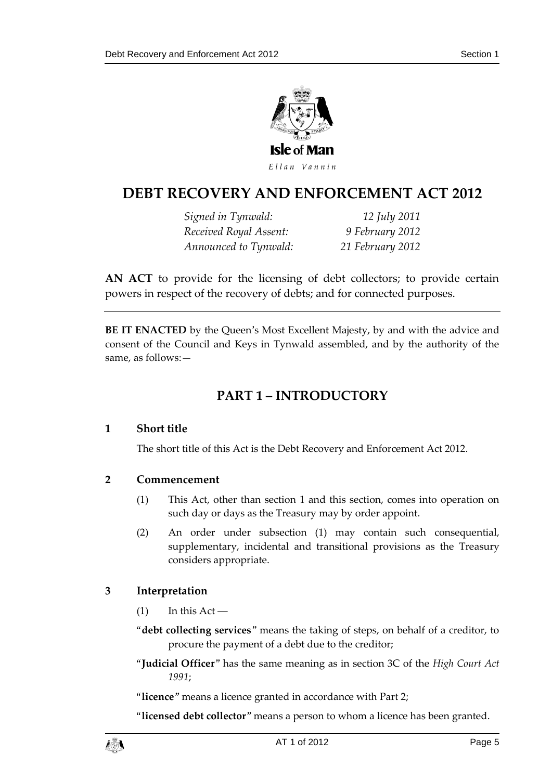

# **DEBT RECOVERY AND ENFORCEMENT ACT 2012**

*Signed in Tynwald: 12 July 2011 Received Royal Assent: 9 February 2012 Announced to Tynwald: 21 February 2012*

**AN ACT** to provide for the licensing of debt collectors; to provide certain powers in respect of the recovery of debts; and for connected purposes.

<span id="page-4-0"></span>**BE IT ENACTED** by the Queen's Most Excellent Majesty, by and with the advice and consent of the Council and Keys in Tynwald assembled, and by the authority of the same, as follows:—

# **PART 1 – INTRODUCTORY**

### <span id="page-4-1"></span>**1 Short title**

The short title of this Act is the Debt Recovery and Enforcement Act 2012.

### <span id="page-4-2"></span>**2 Commencement**

- (1) This Act, other than section 1 and this section, comes into operation on such day or days as the Treasury may by order appoint.
- (2) An order under subsection (1) may contain such consequential, supplementary, incidental and transitional provisions as the Treasury considers appropriate.

### <span id="page-4-3"></span>**3 Interpretation**

- $(1)$  In this Act —
- "**debt collecting services**" means the taking of steps, on behalf of a creditor, to procure the payment of a debt due to the creditor;
- "**Judicial Officer**" has the same meaning as in section 3C of the *High Court Act 1991*;

"**licence**" means a licence granted in accordance with Part 2;

"**licensed debt collector**" means a person to whom a licence has been granted.

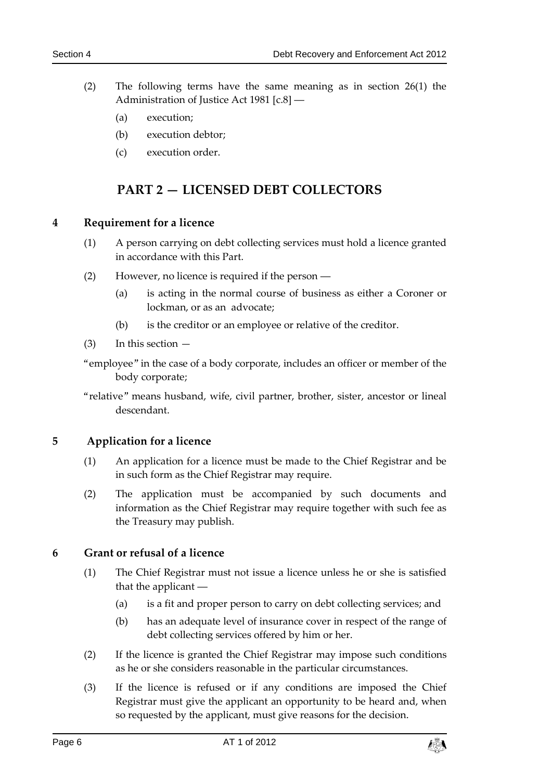- (2) The following terms have the same meaning as in section 26(1) the Administration of Justice Act 1981 [c.8] ―
	- (a) execution;
	- (b) execution debtor;
	- (c) execution order.

## **PART 2 — LICENSED DEBT COLLECTORS**

### <span id="page-5-1"></span><span id="page-5-0"></span>**4 Requirement for a licence**

- (1) A person carrying on debt collecting services must hold a licence granted in accordance with this Part.
- (2) However, no licence is required if the person ―
	- (a) is acting in the normal course of business as either a Coroner or lockman, or as an advocate;
	- (b) is the creditor or an employee or relative of the creditor.
- (3) In this section —
- "employee" in the case of a body corporate, includes an officer or member of the body corporate;
- <span id="page-5-2"></span>"relative" means husband, wife, civil partner, brother, sister, ancestor or lineal descendant.

### **5 Application for a licence**

- (1) An application for a licence must be made to the Chief Registrar and be in such form as the Chief Registrar may require.
- (2) The application must be accompanied by such documents and information as the Chief Registrar may require together with such fee as the Treasury may publish.

### <span id="page-5-3"></span>**6 Grant or refusal of a licence**

- (1) The Chief Registrar must not issue a licence unless he or she is satisfied that the applicant ―
	- (a) is a fit and proper person to carry on debt collecting services; and
	- (b) has an adequate level of insurance cover in respect of the range of debt collecting services offered by him or her.
- (2) If the licence is granted the Chief Registrar may impose such conditions as he or she considers reasonable in the particular circumstances.
- (3) If the licence is refused or if any conditions are imposed the Chief Registrar must give the applicant an opportunity to be heard and, when so requested by the applicant, must give reasons for the decision.

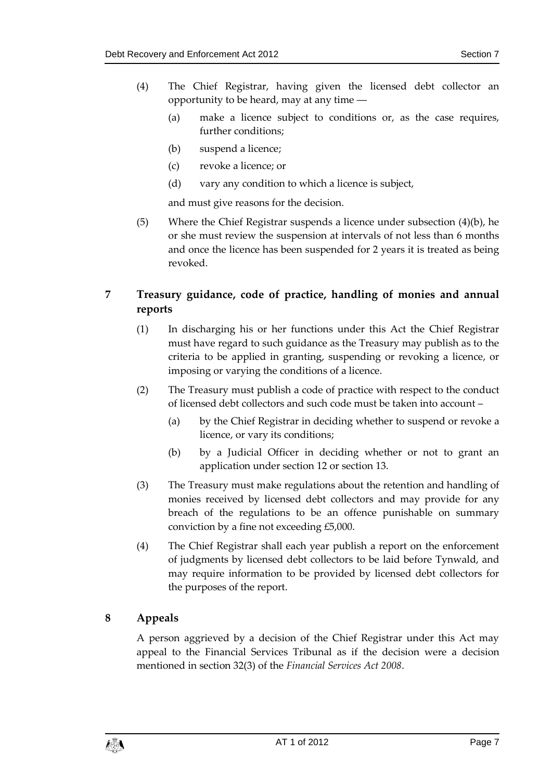- (4) The Chief Registrar, having given the licensed debt collector an opportunity to be heard, may at any time ―
	- (a) make a licence subject to conditions or, as the case requires, further conditions;
	- (b) suspend a licence;
	- (c) revoke a licence; or
	- (d) vary any condition to which a licence is subject,

and must give reasons for the decision.

(5) Where the Chief Registrar suspends a licence under subsection  $(4)(b)$ , he or she must review the suspension at intervals of not less than 6 months and once the licence has been suspended for 2 years it is treated as being revoked.

### <span id="page-6-0"></span>**7 Treasury guidance, code of practice, handling of monies and annual reports**

- (1) In discharging his or her functions under this Act the Chief Registrar must have regard to such guidance as the Treasury may publish as to the criteria to be applied in granting, suspending or revoking a licence, or imposing or varying the conditions of a licence.
- (2) The Treasury must publish a code of practice with respect to the conduct of licensed debt collectors and such code must be taken into account –
	- (a) by the Chief Registrar in deciding whether to suspend or revoke a licence, or vary its conditions;
	- (b) by a Judicial Officer in deciding whether or not to grant an application under section 12 or section 13.
- (3) The Treasury must make regulations about the retention and handling of monies received by licensed debt collectors and may provide for any breach of the regulations to be an offence punishable on summary conviction by a fine not exceeding £5,000.
- (4) The Chief Registrar shall each year publish a report on the enforcement of judgments by licensed debt collectors to be laid before Tynwald, and may require information to be provided by licensed debt collectors for the purposes of the report.

### <span id="page-6-1"></span>**8 Appeals**

A person aggrieved by a decision of the Chief Registrar under this Act may appeal to the Financial Services Tribunal as if the decision were a decision mentioned in section 32(3) of the *Financial Services Act 2008*.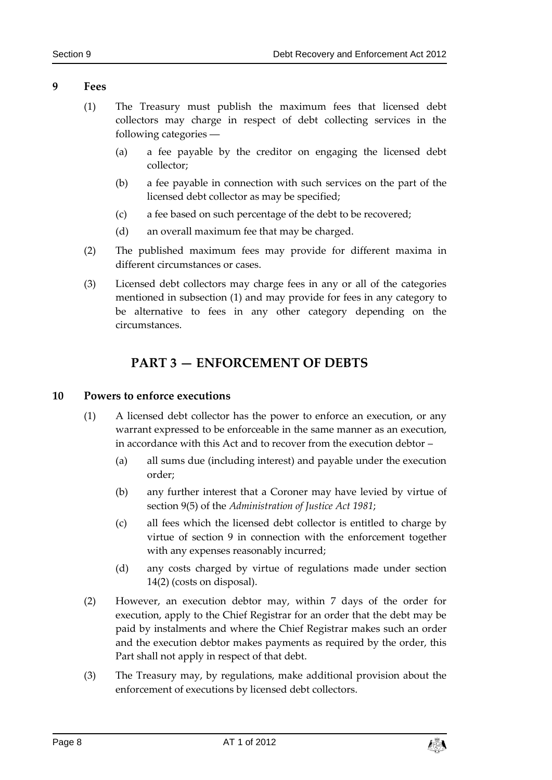### <span id="page-7-0"></span>**9 Fees**

- (1) The Treasury must publish the maximum fees that licensed debt collectors may charge in respect of debt collecting services in the following categories ―
	- (a) a fee payable by the creditor on engaging the licensed debt collector;
	- (b) a fee payable in connection with such services on the part of the licensed debt collector as may be specified;
	- (c) a fee based on such percentage of the debt to be recovered;
	- (d) an overall maximum fee that may be charged.
- (2) The published maximum fees may provide for different maxima in different circumstances or cases.
- (3) Licensed debt collectors may charge fees in any or all of the categories mentioned in subsection (1) and may provide for fees in any category to be alternative to fees in any other category depending on the circumstances.

# **PART 3 — ENFORCEMENT OF DEBTS**

### <span id="page-7-2"></span><span id="page-7-1"></span>**10 Powers to enforce executions**

- (1) A licensed debt collector has the power to enforce an execution, or any warrant expressed to be enforceable in the same manner as an execution, in accordance with this Act and to recover from the execution debtor –
	- (a) all sums due (including interest) and payable under the execution order;
	- (b) any further interest that a Coroner may have levied by virtue of section 9(5) of the *Administration of Justice Act 1981*;
	- (c) all fees which the licensed debt collector is entitled to charge by virtue of section 9 in connection with the enforcement together with any expenses reasonably incurred;
	- (d) any costs charged by virtue of regulations made under section 14(2) (costs on disposal).
- (2) However, an execution debtor may, within 7 days of the order for execution, apply to the Chief Registrar for an order that the debt may be paid by instalments and where the Chief Registrar makes such an order and the execution debtor makes payments as required by the order, this Part shall not apply in respect of that debt.
- (3) The Treasury may, by regulations, make additional provision about the enforcement of executions by licensed debt collectors.

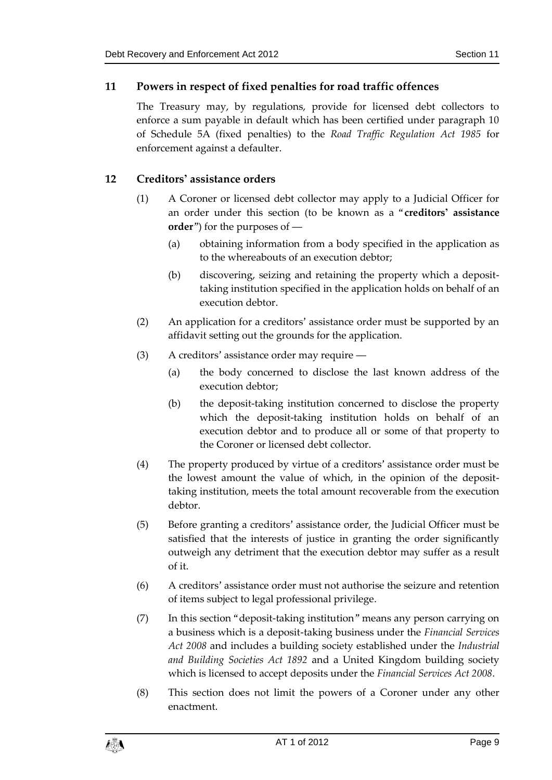### <span id="page-8-0"></span>**11 Powers in respect of fixed penalties for road traffic offences**

The Treasury may, by regulations, provide for licensed debt collectors to enforce a sum payable in default which has been certified under paragraph 10 of Schedule 5A (fixed penalties) to the *Road Traffic Regulation Act 1985* for enforcement against a defaulter.

### <span id="page-8-1"></span>**12 Creditors' assistance orders**

- (1) A Coroner or licensed debt collector may apply to a Judicial Officer for an order under this section (to be known as a "**creditors' assistance order**") for the purposes of ―
	- (a) obtaining information from a body specified in the application as to the whereabouts of an execution debtor;
	- (b) discovering, seizing and retaining the property which a deposittaking institution specified in the application holds on behalf of an execution debtor.
- (2) An application for a creditors' assistance order must be supported by an affidavit setting out the grounds for the application.
- (3) A creditors' assistance order may require ―
	- (a) the body concerned to disclose the last known address of the execution debtor;
	- (b) the deposit-taking institution concerned to disclose the property which the deposit-taking institution holds on behalf of an execution debtor and to produce all or some of that property to the Coroner or licensed debt collector.
- (4) The property produced by virtue of a creditors' assistance order must be the lowest amount the value of which, in the opinion of the deposittaking institution, meets the total amount recoverable from the execution debtor.
- (5) Before granting a creditors' assistance order, the Judicial Officer must be satisfied that the interests of justice in granting the order significantly outweigh any detriment that the execution debtor may suffer as a result of it.
- (6) A creditors' assistance order must not authorise the seizure and retention of items subject to legal professional privilege.
- (7) In this section "deposit-taking institution" means any person carrying on a business which is a deposit-taking business under the *Financial Services Act 2008* and includes a building society established under the *Industrial and Building Societies Act 1892* and a United Kingdom building society which is licensed to accept deposits under the *Financial Services Act 2008*.
- (8) This section does not limit the powers of a Coroner under any other enactment.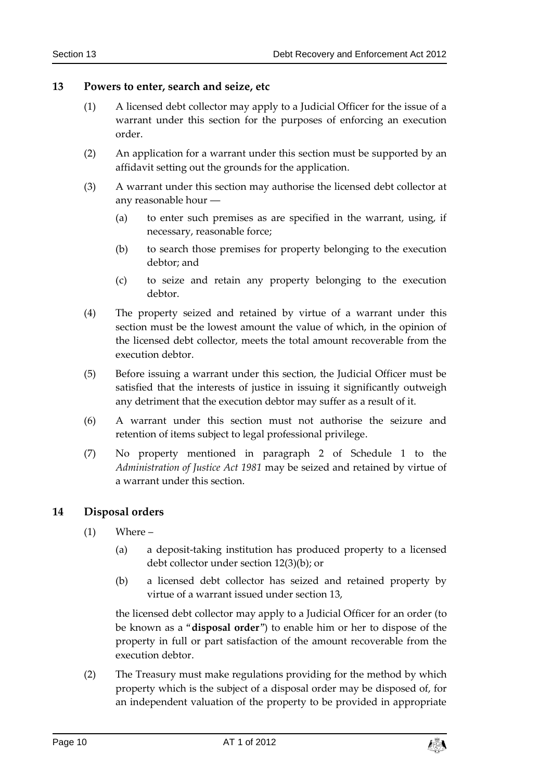### <span id="page-9-0"></span>**13 Powers to enter, search and seize, etc**

- (1) A licensed debt collector may apply to a Judicial Officer for the issue of a warrant under this section for the purposes of enforcing an execution order.
- (2) An application for a warrant under this section must be supported by an affidavit setting out the grounds for the application.
- (3) A warrant under this section may authorise the licensed debt collector at any reasonable hour ―
	- (a) to enter such premises as are specified in the warrant, using, if necessary, reasonable force;
	- (b) to search those premises for property belonging to the execution debtor; and
	- (c) to seize and retain any property belonging to the execution debtor.
- (4) The property seized and retained by virtue of a warrant under this section must be the lowest amount the value of which, in the opinion of the licensed debt collector, meets the total amount recoverable from the execution debtor.
- (5) Before issuing a warrant under this section, the Judicial Officer must be satisfied that the interests of justice in issuing it significantly outweigh any detriment that the execution debtor may suffer as a result of it.
- (6) A warrant under this section must not authorise the seizure and retention of items subject to legal professional privilege.
- (7) No property mentioned in paragraph 2 of Schedule 1 to the *Administration of Justice Act 1981* may be seized and retained by virtue of a warrant under this section.

### <span id="page-9-1"></span>**14 Disposal orders**

- $(1)$  Where
	- (a) a deposit-taking institution has produced property to a licensed debt collector under section 12(3)(b); or
	- (b) a licensed debt collector has seized and retained property by virtue of a warrant issued under section 13,

the licensed debt collector may apply to a Judicial Officer for an order (to be known as a "**disposal order**") to enable him or her to dispose of the property in full or part satisfaction of the amount recoverable from the execution debtor.

(2) The Treasury must make regulations providing for the method by which property which is the subject of a disposal order may be disposed of, for an independent valuation of the property to be provided in appropriate

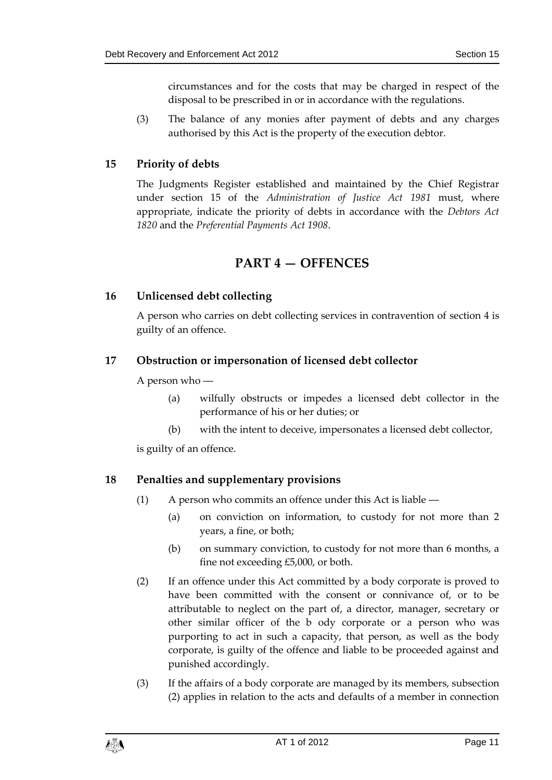circumstances and for the costs that may be charged in respect of the disposal to be prescribed in or in accordance with the regulations.

(3) The balance of any monies after payment of debts and any charges authorised by this Act is the property of the execution debtor.

### <span id="page-10-0"></span>**15 Priority of debts**

The Judgments Register established and maintained by the Chief Registrar under section 15 of the *Administration of Justice Act 1981* must, where appropriate, indicate the priority of debts in accordance with the *Debtors Act 1820* and the *Preferential Payments Act 1908*.

## **PART 4 — OFFENCES**

### <span id="page-10-2"></span><span id="page-10-1"></span>**16 Unlicensed debt collecting**

A person who carries on debt collecting services in contravention of section 4 is guilty of an offence.

### <span id="page-10-3"></span>**17 Obstruction or impersonation of licensed debt collector**

A person who ―

- (a) wilfully obstructs or impedes a licensed debt collector in the performance of his or her duties; or
- (b) with the intent to deceive, impersonates a licensed debt collector,

is guilty of an offence.

### <span id="page-10-4"></span>**18 Penalties and supplementary provisions**

- (1) A person who commits an offence under this Act is liable ―
	- (a) on conviction on information, to custody for not more than 2 years, a fine, or both;
	- (b) on summary conviction, to custody for not more than 6 months, a fine not exceeding £5,000, or both.
- (2) If an offence under this Act committed by a body corporate is proved to have been committed with the consent or connivance of, or to be attributable to neglect on the part of, a director, manager, secretary or other similar officer of the b ody corporate or a person who was purporting to act in such a capacity, that person, as well as the body corporate, is guilty of the offence and liable to be proceeded against and punished accordingly.
- (3) If the affairs of a body corporate are managed by its members, subsection (2) applies in relation to the acts and defaults of a member in connection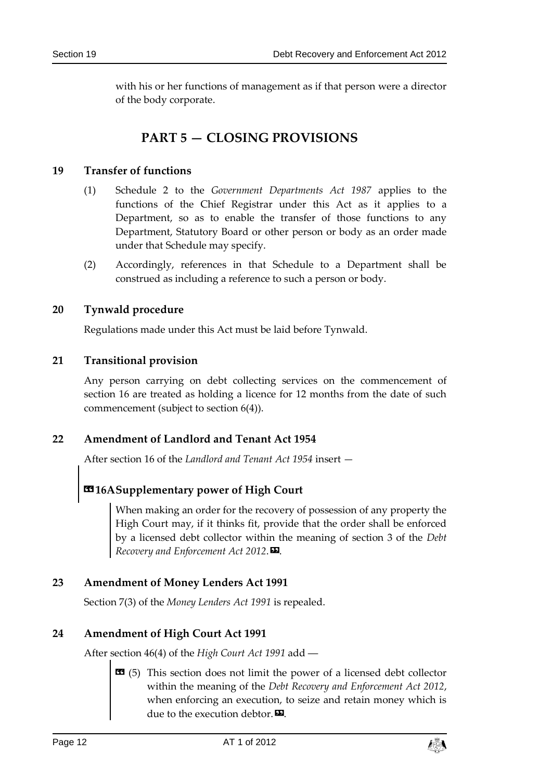with his or her functions of management as if that person were a director of the body corporate.

# **PART 5 — CLOSING PROVISIONS**

### <span id="page-11-1"></span><span id="page-11-0"></span>**19 Transfer of functions**

- (1) Schedule 2 to the *Government Departments Act 1987* applies to the functions of the Chief Registrar under this Act as it applies to a Department, so as to enable the transfer of those functions to any Department, Statutory Board or other person or body as an order made under that Schedule may specify.
- (2) Accordingly, references in that Schedule to a Department shall be construed as including a reference to such a person or body.

### <span id="page-11-2"></span>**20 Tynwald procedure**

Regulations made under this Act must be laid before Tynwald.

### <span id="page-11-3"></span>**21 Transitional provision**

Any person carrying on debt collecting services on the commencement of section 16 are treated as holding a licence for 12 months from the date of such commencement (subject to section 6(4)).

### <span id="page-11-4"></span>**22 Amendment of Landlord and Tenant Act 1954**

After section 16 of the *Landlord and Tenant Act 1954* insert —

# **«16ASupplementary power of High Court**

When making an order for the recovery of possession of any property the High Court may, if it thinks fit, provide that the order shall be enforced by a licensed debt collector within the meaning of section 3 of the *Debt Recovery and Enforcement Act 2012*.».

### <span id="page-11-5"></span>**23 Amendment of Money Lenders Act 1991**

Section 7(3) of the *Money Lenders Act 1991* is repealed.

### <span id="page-11-6"></span>**24 Amendment of High Court Act 1991**

After section 46(4) of the *High Court Act 1991* add ―

 $\bullet$  (5) This section does not limit the power of a licensed debt collector within the meaning of the *Debt Recovery and Enforcement Act 2012*, when enforcing an execution, to seize and retain money which is due to the execution debtor. $\mathbf{E}$ .